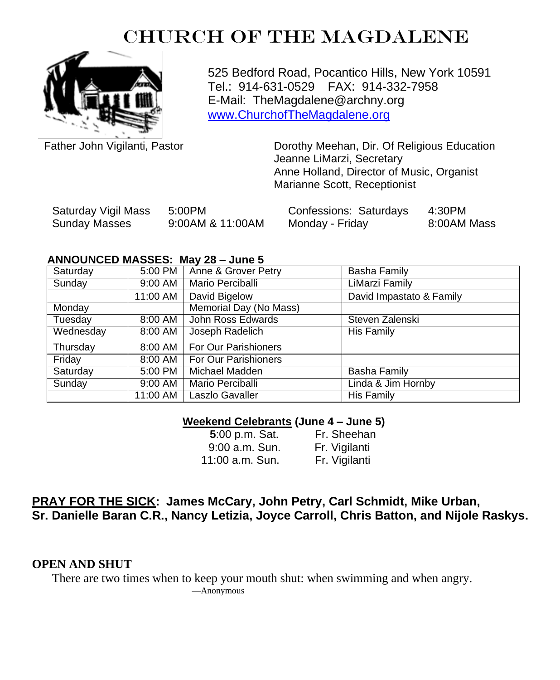# CHURCH OF THE MAGDALENE



525 Bedford Road, Pocantico Hills, New York 10591 Tel.: 914-631-0529 FAX: 914-332-7958 E-Mail: TheMagdalene@archny.org [www.ChurchofTheMagdalene.org](http://www.churchofthemagdalene.org/)

Father John Vigilanti, Pastor

Dorothy Meehan, Dir. Of Religious Education Jeanne LiMarzi, Secretary Anne Holland, Director of Music, Organist Marianne Scott, Receptionist

| Saturday Vigil Mass | 5:00PM           | Confessions: Saturdays | 4:30PM      |
|---------------------|------------------|------------------------|-------------|
| Sunday Masses       | 9:00AM & 11:00AM | Monday - Friday        | 8:00AM Mass |

#### **ANNOUNCED MASSES: May 28 – June 5**

| Saturday  | 5:00 PM  | Anne & Grover Petry         | <b>Basha Family</b>      |
|-----------|----------|-----------------------------|--------------------------|
| Sunday    | 9:00 AM  | Mario Perciballi            | LiMarzi Family           |
|           | 11:00 AM | David Bigelow               | David Impastato & Family |
| Monday    |          | Memorial Day (No Mass)      |                          |
| Tuesday   | 8:00 AM  | John Ross Edwards           | Steven Zalenski          |
| Wednesday | 8:00 AM  | Joseph Radelich             | His Family               |
| Thursday  | 8:00 AM  | <b>For Our Parishioners</b> |                          |
| Friday    | 8:00 AM  | For Our Parishioners        |                          |
| Saturday  | 5:00 PM  | Michael Madden              | <b>Basha Family</b>      |
| Sunday    | 9:00 AM  | Mario Perciballi            | Linda & Jim Hornby       |
|           | 11:00 AM | Laszlo Gavaller             | His Family               |

#### **Weekend Celebrants (June 4 – June 5)**

| 5:00 p.m. Sat.   | Fr. Sheehan   |
|------------------|---------------|
| $9:00$ a.m. Sun. | Fr. Vigilanti |
| 11:00 a.m. Sun.  | Fr. Vigilanti |

#### **PRAY FOR THE SICK: James McCary, John Petry, Carl Schmidt, Mike Urban, Sr. Danielle Baran C.R., Nancy Letizia, Joyce Carroll, Chris Batton, and Nijole Raskys.**

**OPEN AND SHUT**

There are two times when to keep your mouth shut: when swimming and when angry. —Anonymous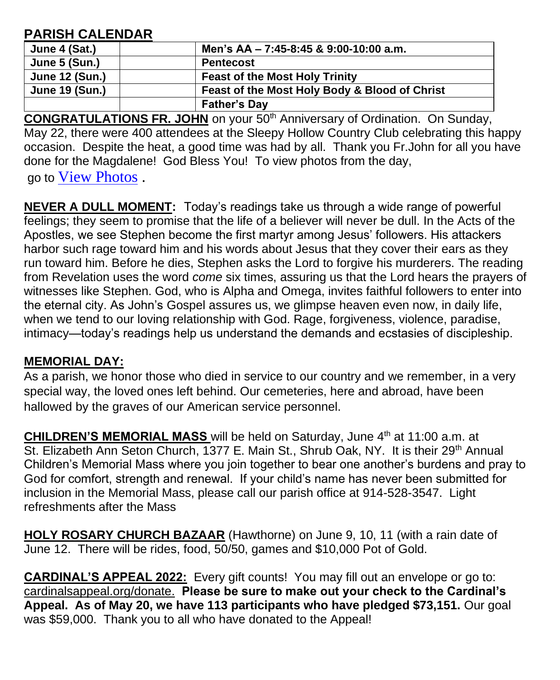## **PARISH CALENDAR**

| June 4 (Sat.)         | Men's AA - 7:45-8:45 & 9:00-10:00 a.m.        |
|-----------------------|-----------------------------------------------|
| June 5 (Sun.)         | <b>Pentecost</b>                              |
| June 12 (Sun.)        | <b>Feast of the Most Holy Trinity</b>         |
| <b>June 19 (Sun.)</b> | Feast of the Most Holy Body & Blood of Christ |
|                       | <b>Father's Day</b>                           |

**CONGRATULATIONS FR. JOHN** on your 50th Anniversary of Ordination. On Sunday, May 22, there were 400 attendees at the Sleepy Hollow Country Club celebrating this happy occasion. Despite the heat, a good time was had by all. Thank you Fr.John for all you have done for the Magdalene! God Bless You! To view photos from the day,

go to [View Photos](http://www.mjtphotography.biz/) .

**NEVER A DULL MOMENT:** Today's readings take us through a wide range of powerful feelings; they seem to promise that the life of a believer will never be dull. In the Acts of the Apostles, we see Stephen become the first martyr among Jesus' followers. His attackers harbor such rage toward him and his words about Jesus that they cover their ears as they run toward him. Before he dies, Stephen asks the Lord to forgive his murderers. The reading from Revelation uses the word *come* six times, assuring us that the Lord hears the prayers of witnesses like Stephen. God, who is Alpha and Omega, invites faithful followers to enter into the eternal city. As John's Gospel assures us, we glimpse heaven even now, in daily life, when we tend to our loving relationship with God. Rage, forgiveness, violence, paradise, intimacy—today's readings help us understand the demands and ecstasies of discipleship.

### **MEMORIAL DAY:**

As a parish, we honor those who died in service to our country and we remember, in a very special way, the loved ones left behind. Our cemeteries, here and abroad, have been hallowed by the graves of our American service personnel.

**CHILDREN'S MEMORIAL MASS** will be held on Saturday, June 4<sup>th</sup> at 11:00 a.m. at St. Elizabeth Ann Seton Church, 1377 E. Main St., Shrub Oak, NY. It is their 29<sup>th</sup> Annual Children's Memorial Mass where you join together to bear one another's burdens and pray to God for comfort, strength and renewal. If your child's name has never been submitted for inclusion in the Memorial Mass, please call our parish office at 914-528-3547. Light refreshments after the Mass

**HOLY ROSARY CHURCH BAZAAR** (Hawthorne) on June 9, 10, 11 (with a rain date of June 12. There will be rides, food, 50/50, games and \$10,000 Pot of Gold.

**CARDINAL'S APPEAL 2022:** Every gift counts! You may fill out an envelope or go to: cardinalsappeal.org/donate. **Please be sure to make out your check to the Cardinal's Appeal. As of May 20, we have 113 participants who have pledged \$73,151.** Our goal was \$59,000. Thank you to all who have donated to the Appeal!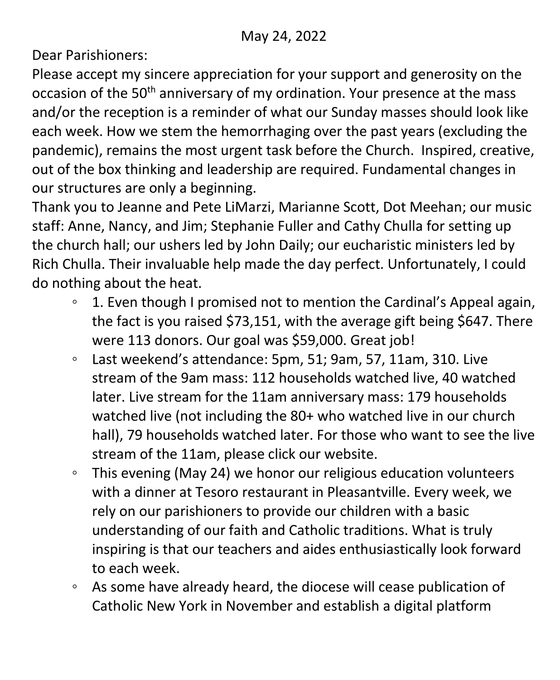Dear Parishioners:

Please accept my sincere appreciation for your support and generosity on the occasion of the 50<sup>th</sup> anniversary of my ordination. Your presence at the mass and/or the reception is a reminder of what our Sunday masses should look like each week. How we stem the hemorrhaging over the past years (excluding the pandemic), remains the most urgent task before the Church. Inspired, creative, out of the box thinking and leadership are required. Fundamental changes in our structures are only a beginning.

Thank you to Jeanne and Pete LiMarzi, Marianne Scott, Dot Meehan; our music staff: Anne, Nancy, and Jim; Stephanie Fuller and Cathy Chulla for setting up the church hall; our ushers led by John Daily; our eucharistic ministers led by Rich Chulla. Their invaluable help made the day perfect. Unfortunately, I could do nothing about the heat.

- 1. Even though I promised not to mention the Cardinal's Appeal again, the fact is you raised \$73,151, with the average gift being \$647. There were 113 donors. Our goal was \$59,000. Great job!
- Last weekend's attendance: 5pm, 51; 9am, 57, 11am, 310. Live stream of the 9am mass: 112 households watched live, 40 watched later. Live stream for the 11am anniversary mass: 179 households watched live (not including the 80+ who watched live in our church hall), 79 households watched later. For those who want to see the live stream of the 11am, please click our website.
- This evening (May 24) we honor our religious education volunteers with a dinner at Tesoro restaurant in Pleasantville. Every week, we rely on our parishioners to provide our children with a basic understanding of our faith and Catholic traditions. What is truly inspiring is that our teachers and aides enthusiastically look forward to each week.
- As some have already heard, the diocese will cease publication of Catholic New York in November and establish a digital platform